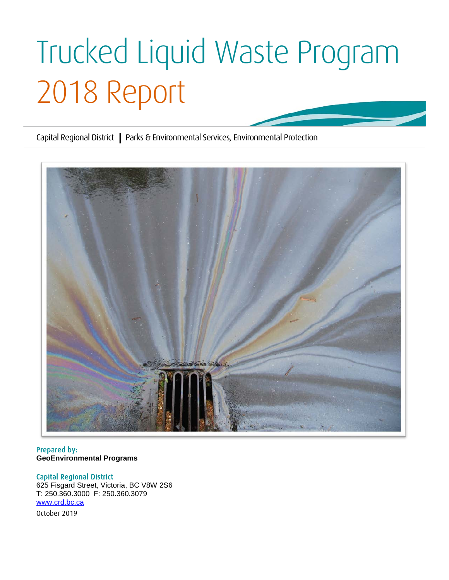# Trucked Liquid Waste Program 2018 Report

Capital Regional District **|** Parks & Environmental Services, Environmental Protection



Prepared by: **GeoEnvironmental Programs**

# Capital Regional District

625 Fisgard Street, Victoria, BC V8W 2S6 T: 250.360.3000 F: 250.360.3079 [www.crd.bc.ca](http://www.crd.bc.ca/) October 2019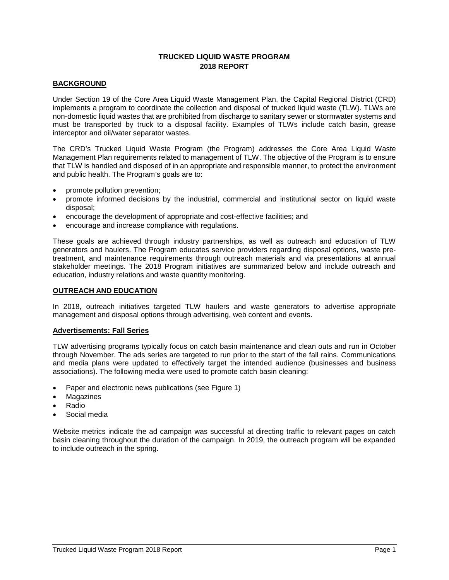# **TRUCKED LIQUID WASTE PROGRAM 2018 REPORT**

## **BACKGROUND**

Under Section 19 of the Core Area Liquid Waste Management Plan, the Capital Regional District (CRD) implements a program to coordinate the collection and disposal of trucked liquid waste (TLW). TLWs are non-domestic liquid wastes that are prohibited from discharge to sanitary sewer or stormwater systems and must be transported by truck to a disposal facility. Examples of TLWs include catch basin, grease interceptor and oil/water separator wastes.

The CRD's Trucked Liquid Waste Program (the Program) addresses the Core Area Liquid Waste Management Plan requirements related to management of TLW. The objective of the Program is to ensure that TLW is handled and disposed of in an appropriate and responsible manner, to protect the environment and public health. The Program's goals are to:

- promote pollution prevention;
- promote informed decisions by the industrial, commercial and institutional sector on liquid waste disposal;
- encourage the development of appropriate and cost-effective facilities; and
- encourage and increase compliance with regulations.

These goals are achieved through industry partnerships, as well as outreach and education of TLW generators and haulers. The Program educates service providers regarding disposal options, waste pretreatment, and maintenance requirements through outreach materials and via presentations at annual stakeholder meetings. The 2018 Program initiatives are summarized below and include outreach and education, industry relations and waste quantity monitoring.

#### **OUTREACH AND EDUCATION**

In 2018, outreach initiatives targeted TLW haulers and waste generators to advertise appropriate management and disposal options through advertising, web content and events.

#### **Advertisements: Fall Series**

TLW advertising programs typically focus on catch basin maintenance and clean outs and run in October through November. The ads series are targeted to run prior to the start of the fall rains. Communications and media plans were updated to effectively target the intended audience (businesses and business associations). The following media were used to promote catch basin cleaning:

- Paper and electronic news publications (see Figure 1)
- **Magazines**
- Radio
- Social media

Website metrics indicate the ad campaign was successful at directing traffic to relevant pages on catch basin cleaning throughout the duration of the campaign. In 2019, the outreach program will be expanded to include outreach in the spring.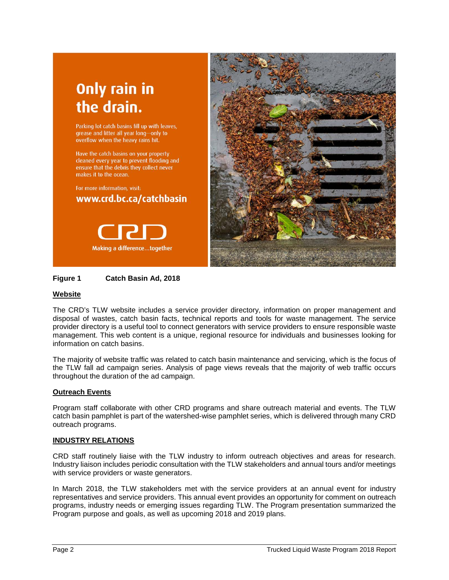# **Only rain in** the drain.

Parking lot catch basins fill up with leaves, grease and litter all year long-only to overflow when the heavy rains hit.

Have the catch basins on your property cleaned every year to prevent flooding and ensure that the debris they collect never makes it to the ocean.

For more information, visit: www.crd.bc.ca/catchbasin





# **Figure 1 Catch Basin Ad, 2018**

# **Website**

The CRD's TLW website includes a service provider directory, information on proper management and disposal of wastes, catch basin facts, technical reports and tools for waste management. The service provider directory is a useful tool to connect generators with service providers to ensure responsible waste management. This web content is a unique, regional resource for individuals and businesses looking for information on catch basins.

The majority of website traffic was related to catch basin maintenance and servicing, which is the focus of the TLW fall ad campaign series. Analysis of page views reveals that the majority of web traffic occurs throughout the duration of the ad campaign.

# **Outreach Events**

Program staff collaborate with other CRD programs and share outreach material and events. The TLW catch basin pamphlet is part of the watershed-wise pamphlet series, which is delivered through many CRD outreach programs.

#### **INDUSTRY RELATIONS**

CRD staff routinely liaise with the TLW industry to inform outreach objectives and areas for research. Industry liaison includes periodic consultation with the TLW stakeholders and annual tours and/or meetings with service providers or waste generators.

In March 2018, the TLW stakeholders met with the service providers at an annual event for industry representatives and service providers. This annual event provides an opportunity for comment on outreach programs, industry needs or emerging issues regarding TLW. The Program presentation summarized the Program purpose and goals, as well as upcoming 2018 and 2019 plans.